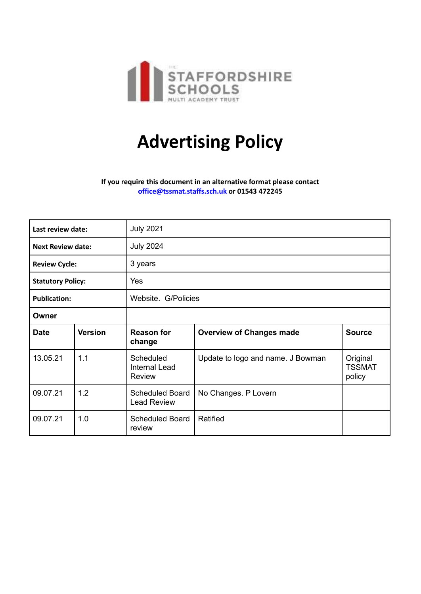

## **Advertising Policy**

## **If you require this document in an alternative format please contact [office@tssmat.staffs.sch.uk](mailto:office@tssmat.staffs.sch.uk) or 01543 472245**

| Last review date:        |                | <b>July 2021</b>                                   |                                   |                                     |
|--------------------------|----------------|----------------------------------------------------|-----------------------------------|-------------------------------------|
| <b>Next Review date:</b> |                | <b>July 2024</b>                                   |                                   |                                     |
| <b>Review Cycle:</b>     |                | 3 years                                            |                                   |                                     |
| <b>Statutory Policy:</b> |                | Yes                                                |                                   |                                     |
| <b>Publication:</b>      |                | Website. G/Policies                                |                                   |                                     |
| Owner                    |                |                                                    |                                   |                                     |
| <b>Date</b>              | <b>Version</b> | <b>Reason for</b><br>change                        | <b>Overview of Changes made</b>   | <b>Source</b>                       |
| 13.05.21                 | 1.1            | <b>Scheduled</b><br><b>Internal Lead</b><br>Review | Update to logo and name. J Bowman | Original<br><b>TSSMAT</b><br>policy |
| 09.07.21                 | 1.2            | <b>Scheduled Board</b><br><b>Lead Review</b>       | No Changes. P Lovern              |                                     |
| 09.07.21                 | 1.0            | <b>Scheduled Board</b><br>review                   | Ratified                          |                                     |